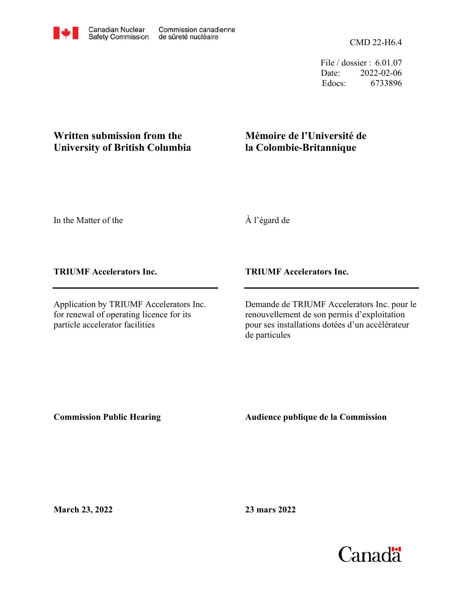

File / dossier : 6.01.07 Date: 2022-02-06 Edocs: 6733896

## **Written submission from the University of British Columbia**

## **Mémoire de l'Université de la Colombie-Britannique**

In the Matter of the

À l'égard de

**TRIUMF Accelerators Inc.**

Application by TRIUMF Accelerators Inc. for renewal of operating licence for its particle accelerator facilities

**TRIUMF Accelerators Inc.**

Demande de TRIUMF Accelerators Inc. pour le renouvellement de son permis d'exploitation pour ses installations dotées d'un accélérateur de particules

**Commission Public Hearing**

**Audience publique de la Commission** 

**March 23, 2022**

**23 mars 2022**

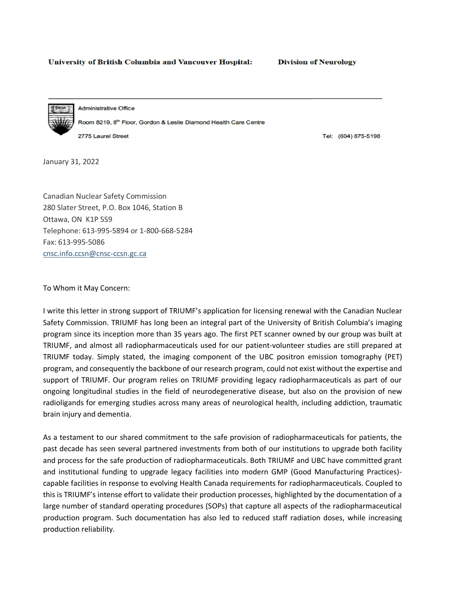## **University of British Columbia and Vancouver Hospital:**

**Division of Neurology** 

**Administrative Office** Room 8219, 8th Floor, Gordon & Leslie Diamond Health Care Centre 2775 Laurel Street

Tel: (604) 875-5198

January 31, 2022

Canadian Nuclear Safety Commission 280 Slater Street, P.O. Box 1046, Station B Ottawa, ON K1P 5S9 Telephone: 613-995-5894 or 1-800-668-5284 Fax: 613-995-5086 cnsc.info.ccsn@cnsc-ccsn.gc.ca

To Whom it May Concern:

I write this letter in strong support of TRIUMF's application for licensing renewal with the Canadian Nuclear Safety Commission. TRIUMF has long been an integral part of the University of British Columbia's imaging program since its inception more than 35 years ago. The first PET scanner owned by our group was built at TRIUMF, and almost all radiopharmaceuticals used for our patient-volunteer studies are still prepared at TRIUMF today. Simply stated, the imaging component of the UBC positron emission tomography (PET) program, and consequently the backbone of our research program, could not exist without the expertise and support of TRIUMF. Our program relies on TRIUMF providing legacy radiopharmaceuticals as part of our ongoing longitudinal studies in the field of neurodegenerative disease, but also on the provision of new radioligands for emerging studies across many areas of neurological health, including addiction, traumatic brain injury and dementia.

As a testament to our shared commitment to the safe provision of radiopharmaceuticals for patients, the past decade has seen several partnered investments from both of our institutions to upgrade both facility and process for the safe production of radiopharmaceuticals. Both TRIUMF and UBC have committed grant and institutional funding to upgrade legacy facilities into modern GMP (Good Manufacturing Practices) capable facilities in response to evolving Health Canada requirements for radiopharmaceuticals. Coupled to this is TRIUMF's intense effort to validate their production processes, highlighted by the documentation of a large number of standard operating procedures (SOPs) that capture all aspects of the radiopharmaceutical production program. Such documentation has also led to reduced staff radiation doses, while increasing production reliability.